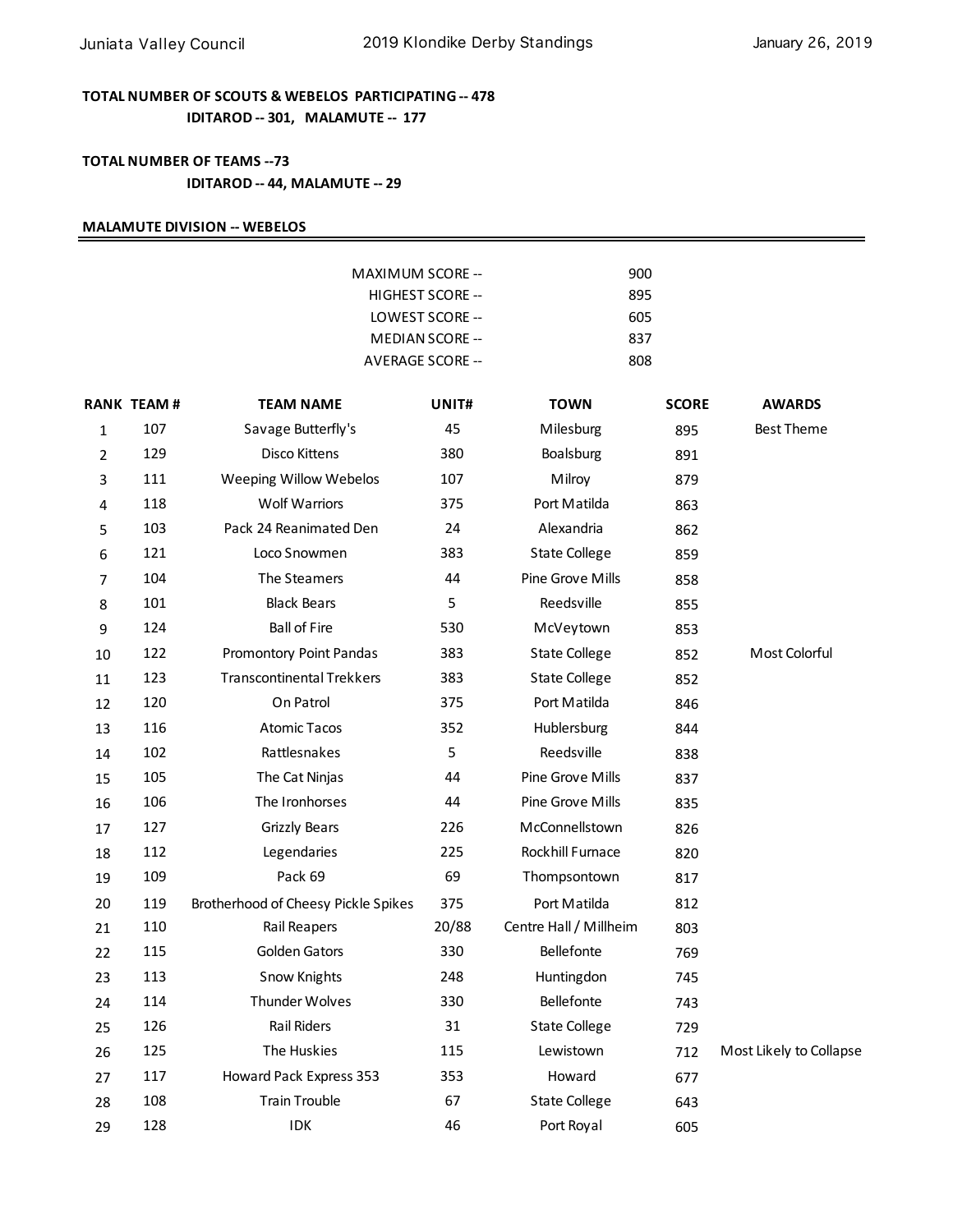## **TOTAL NUMBER OF SCOUTS & WEBELOS PARTICIPATING -- 478 IDITAROD -- 301, MALAMUTE -- 177**

## **TOTAL NUMBER OF TEAMS --73 IDITAROD -- 44, MALAMUTE -- 29**

### **MALAMUTE DIVISION -- WEBELOS**

|                |                   |                                     | <b>MAXIMUM SCORE --</b> | 900                    |              |                         |  |
|----------------|-------------------|-------------------------------------|-------------------------|------------------------|--------------|-------------------------|--|
|                | HIGHEST SCORE --  |                                     |                         | 895                    |              |                         |  |
|                |                   |                                     | LOWEST SCORE --<br>605  |                        |              |                         |  |
|                |                   | <b>MEDIAN SCORE --</b>              |                         | 837                    |              |                         |  |
|                |                   |                                     | AVERAGE SCORE --        |                        | 808          |                         |  |
|                | <b>RANK TEAM#</b> | <b>TEAM NAME</b>                    | UNIT#                   | <b>TOWN</b>            | <b>SCORE</b> | <b>AWARDS</b>           |  |
| 1              | 107               | Savage Butterfly's                  | 45                      | Milesburg              | 895          | <b>Best Theme</b>       |  |
| $\overline{2}$ | 129               | Disco Kittens                       | 380                     | Boalsburg              | 891          |                         |  |
| 3              | 111               | Weeping Willow Webelos              | 107                     | Milroy                 | 879          |                         |  |
| 4              | 118               | <b>Wolf Warriors</b>                | 375                     | Port Matilda           | 863          |                         |  |
| 5              | 103               | Pack 24 Reanimated Den              | 24                      | Alexandria             | 862          |                         |  |
| 6              | 121               | Loco Snowmen                        | 383                     | <b>State College</b>   | 859          |                         |  |
| 7              | 104               | The Steamers                        | 44                      | Pine Grove Mills       | 858          |                         |  |
| 8              | 101               | <b>Black Bears</b>                  | 5                       | Reedsville             | 855          |                         |  |
| 9              | 124               | <b>Ball of Fire</b>                 | 530                     | McVeytown              | 853          |                         |  |
| 10             | 122               | Promontory Point Pandas             | 383                     | <b>State College</b>   | 852          | Most Colorful           |  |
| 11             | 123               | <b>Transcontinental Trekkers</b>    | 383                     | <b>State College</b>   | 852          |                         |  |
| 12             | 120               | On Patrol                           | 375                     | Port Matilda           | 846          |                         |  |
| 13             | 116               | <b>Atomic Tacos</b>                 | 352                     | Hublersburg            | 844          |                         |  |
| 14             | 102               | Rattlesnakes                        | 5                       | Reedsville             | 838          |                         |  |
| 15             | 105               | The Cat Ninjas                      | 44                      | Pine Grove Mills       | 837          |                         |  |
| 16             | 106               | The Ironhorses                      | 44                      | Pine Grove Mills       | 835          |                         |  |
| 17             | 127               | <b>Grizzly Bears</b>                | 226                     | McConnellstown         | 826          |                         |  |
| 18             | 112               | Legendaries                         | 225                     | Rockhill Furnace       | 820          |                         |  |
| 19             | 109               | Pack 69                             | 69                      | Thompsontown           | 817          |                         |  |
| 20             | 119               | Brotherhood of Cheesy Pickle Spikes | 375                     | Port Matilda           | 812          |                         |  |
| 21             | 110               | <b>Rail Reapers</b>                 | 20/88                   | Centre Hall / Millheim | 803          |                         |  |
| 22             | 115               | Golden Gators                       | 330                     | Bellefonte             | 769          |                         |  |
| 23             | 113               | Snow Knights                        | 248                     | Huntingdon             | 745          |                         |  |
| 24             | 114               | Thunder Wolves                      | 330                     | Bellefonte             | 743          |                         |  |
| 25             | 126               | <b>Rail Riders</b>                  | 31                      | <b>State College</b>   | 729          |                         |  |
| 26             | 125               | The Huskies                         | 115                     | Lewistown              | 712          | Most Likely to Collapse |  |
| 27             | 117               | Howard Pack Express 353             | 353                     | Howard                 | 677          |                         |  |
| 28             | 108               | <b>Train Trouble</b>                | 67                      | <b>State College</b>   | 643          |                         |  |
| 29             | 128               | IDK                                 | 46                      | Port Royal             | 605          |                         |  |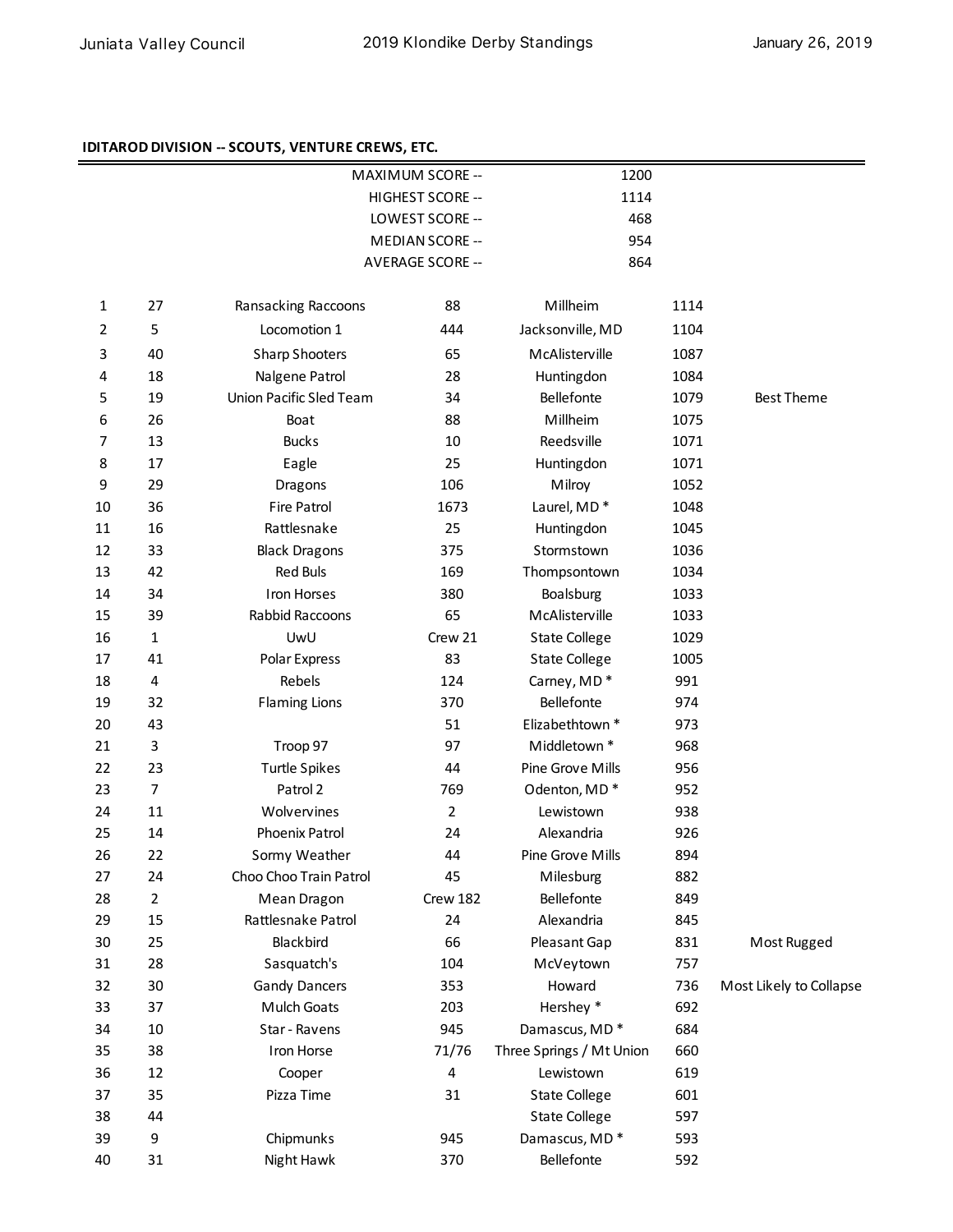#### **IDITAROD DIVISION -- SCOUTS, VENTURE CREWS, ETC.**

|              |                |                         | MAXIMUM SCORE --       | 1200                     |      |                         |
|--------------|----------------|-------------------------|------------------------|--------------------------|------|-------------------------|
|              |                |                         | HIGHEST SCORE --       |                          | 1114 |                         |
|              |                |                         | LOWEST SCORE --        | 468                      |      |                         |
|              |                |                         | <b>MEDIAN SCORE --</b> | 954                      |      |                         |
|              |                |                         | AVERAGE SCORE --       | 864                      |      |                         |
| $\mathbf{1}$ | 27             | Ransacking Raccoons     | 88                     | Millheim                 | 1114 |                         |
| 2            | 5              | Locomotion 1            | 444                    | Jacksonville, MD         | 1104 |                         |
| 3            | 40             | <b>Sharp Shooters</b>   | 65                     | McAlisterville           | 1087 |                         |
| 4            | 18             | Nalgene Patrol          | 28                     | Huntingdon               | 1084 |                         |
| 5            | 19             | Union Pacific Sled Team | 34                     | Bellefonte               | 1079 | <b>Best Theme</b>       |
| 6            | 26             | Boat                    | 88                     | Millheim                 | 1075 |                         |
| 7            | 13             | <b>Bucks</b>            | 10                     | Reedsville               | 1071 |                         |
| 8            | 17             | Eagle                   | 25                     | Huntingdon               | 1071 |                         |
| 9            | 29             | Dragons                 | 106                    | Milroy                   | 1052 |                         |
| 10           | 36             | <b>Fire Patrol</b>      | 1673                   | Laurel, MD*              | 1048 |                         |
| 11           | 16             | Rattlesnake             | 25                     | Huntingdon               | 1045 |                         |
| 12           | 33             | <b>Black Dragons</b>    | 375                    | Stormstown               | 1036 |                         |
| 13           | 42             | <b>Red Buls</b>         | 169                    | Thompsontown             | 1034 |                         |
| 14           | 34             | <b>Iron Horses</b>      | 380                    | Boalsburg                | 1033 |                         |
| 15           | 39             | Rabbid Raccoons         | 65                     | McAlisterville           | 1033 |                         |
| 16           | $\mathbf{1}$   | UwU                     | Crew 21                | <b>State College</b>     | 1029 |                         |
| 17           | 41             | Polar Express           | 83                     | <b>State College</b>     | 1005 |                         |
| 18           | 4              | Rebels                  | 124                    | Carney, MD*              | 991  |                         |
| 19           | 32             | <b>Flaming Lions</b>    | 370                    | Bellefonte               | 974  |                         |
| 20           | 43             |                         | 51                     | Elizabethtown *          | 973  |                         |
| 21           | 3              | Troop 97                | 97                     | Middletown *             | 968  |                         |
| 22           | 23             | <b>Turtle Spikes</b>    | 44                     | Pine Grove Mills         | 956  |                         |
| 23           | 7              | Patrol 2                | 769                    | Odenton, MD*             | 952  |                         |
| 24           | 11             | Wolvervines             | $\overline{2}$         | Lewistown                | 938  |                         |
| 25           | 14             | Phoenix Patrol          | 24                     | Alexandria               | 926  |                         |
| 26           | 22             | Sormy Weather           | 44                     | Pine Grove Mills         | 894  |                         |
| 27           | 24             | Choo Choo Train Patrol  | 45                     | Milesburg                | 882  |                         |
| 28           | $\overline{2}$ | Mean Dragon             | Crew 182               | Bellefonte               | 849  |                         |
| 29           | 15             | Rattlesnake Patrol      | 24                     | Alexandria               | 845  |                         |
| 30           | 25             | Blackbird               | 66                     | Pleasant Gap             | 831  | Most Rugged             |
| 31           | 28             | Sasquatch's             | 104                    | McVeytown                | 757  |                         |
| 32           | 30             | <b>Gandy Dancers</b>    | 353                    | Howard                   | 736  | Most Likely to Collapse |
| 33           | 37             | Mulch Goats             | 203                    | Hershey *                | 692  |                         |
| 34           | 10             | Star - Ravens           | 945                    | Damascus, MD*            | 684  |                         |
| 35           | 38             | Iron Horse              | 71/76                  | Three Springs / Mt Union | 660  |                         |
| 36           | 12             | Cooper                  | 4                      | Lewistown                | 619  |                         |
| 37           | 35             | Pizza Time              | 31                     | <b>State College</b>     | 601  |                         |
| 38           | 44             |                         |                        | <b>State College</b>     | 597  |                         |
| 39           | 9              | Chipmunks               | 945                    | Damascus, MD*            | 593  |                         |
| 40           | 31             | Night Hawk              | 370                    | Bellefonte               | 592  |                         |